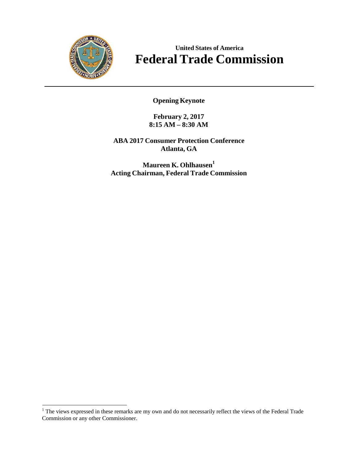

## **United States of America Federal Trade Commission**

**Opening Keynote**

**February 2, 2017 8:15 AM – 8:30 AM**

**ABA 2017 Consumer Protection Conference Atlanta, GA**

**Maureen K.** Ohlhausen<sup>1</sup> **Acting Chairman, Federal Trade Commission**

<sup>&</sup>lt;sup>1</sup> The views expressed in these remarks are my own and do not necessarily reflect the views of the Federal Trade Commission or any other Commissioner.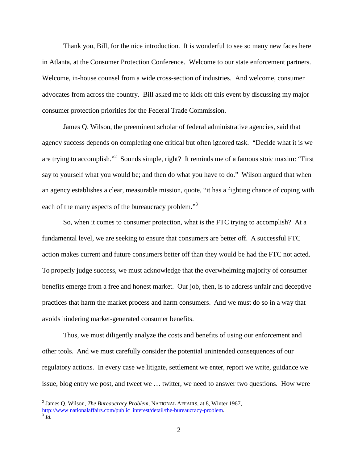Thank you, Bill, for the nice introduction. It is wonderful to see so many new faces here in Atlanta, at the Consumer Protection Conference. Welcome to our state enforcement partners. Welcome, in-house counsel from a wide cross-section of industries. And welcome, consumer advocates from across the country. Bill asked me to kick off this event by discussing my major consumer protection priorities for the Federal Trade Commission.

James Q. Wilson, the preeminent scholar of federal administrative agencies, said that agency success depends on completing one critical but often ignored task. "Decide what it is we are trying to [accomplish."2](#page-1-0) Sounds simple, right? It reminds me of a famous stoic maxim: "First say to yourself what you would be; and then do what you have to do." Wilson argued that when an agency establishes a clear, measurable mission, quote, "it has a fighting chance of coping with each of the many aspects of the bureaucracy problem."<sup>3</sup>

So, when it comes to consumer protection, what is the FTC trying to accomplish? At a fundamental level, we are seeking to ensure that consumers are better off. A successful FTC action makes current and future consumers better off than they would be had the FTC not acted. To properly judge success, we must acknowledge that the overwhelming majority of consumer benefits emerge from a free and honest market. Our job, then, is to address unfair and deceptive practices that harm the market process and harm consumers. And we must do so in a way that avoids hindering market-generated consumer benefits.

Thus, we must diligently analyze the costs and benefits of using our enforcement and other tools. And we must carefully consider the potential unintended consequences of our regulatory actions. In every case we litigate, settlement we enter, report we write, guidance we issue, blog entry we post, and tweet we … twitter, we need to answer two questions. How were

<span id="page-1-0"></span><sup>2</sup> James Q. Wilson, *The Bureaucracy Problem*, NATIONAL AFFAIRS, at 8, Winter 1967, [http://www](http://www/).nationalaffairs.com/public\_interest/detail/the-bureaucracy-problem.<br>
<sup>3</sup>*Id.* 

<span id="page-1-1"></span>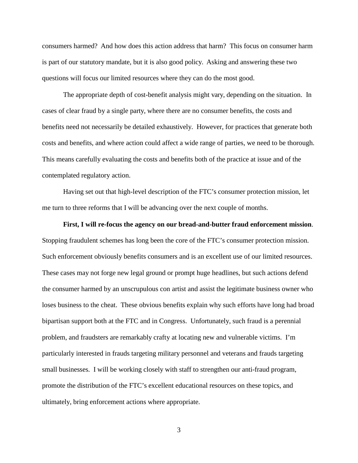consumers harmed? And how does this action address that harm? This focus on consumer harm is part of our statutory mandate, but it is also good policy. Asking and answering these two questions will focus our limited resources where they can do the most good.

The appropriate depth of cost-benefit analysis might vary, depending on the situation. In cases of clear fraud by a single party, where there are no consumer benefits, the costs and benefits need not necessarily be detailed exhaustively. However, for practices that generate both costs and benefits, and where action could affect a wide range of parties, we need to be thorough. This means carefully evaluating the costs and benefits both of the practice at issue and of the contemplated regulatory action.

Having set out that high-level description of the FTC's consumer protection mission, let me turn to three reforms that I will be advancing over the next couple of months.

## **First, I will re-focus the agency on our bread-and-butter fraud enforcement mission**. Stopping fraudulent schemes has long been the core of the FTC's consumer protection mission. Such enforcement obviously benefits consumers and is an excellent use of our limited resources. These cases may not forge new legal ground or prompt huge headlines, but such actions defend the consumer harmed by an unscrupulous con artist and assist the legitimate business owner who loses business to the cheat. These obvious benefits explain why such efforts have long had broad bipartisan support both at the FTC and in Congress. Unfortunately, such fraud is a perennial problem, and fraudsters are remarkably crafty at locating new and vulnerable victims. I'm particularly interested in frauds targeting military personnel and veterans and frauds targeting small businesses. I will be working closely with staff to strengthen our anti-fraud program, promote the distribution of the FTC's excellent educational resources on these topics, and ultimately, bring enforcement actions where appropriate.

3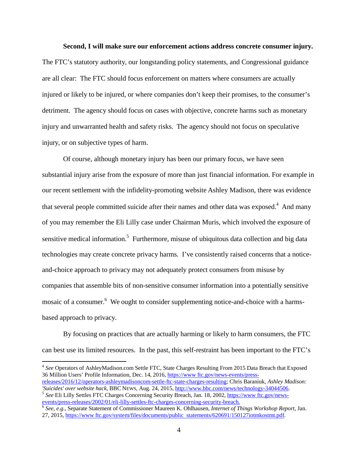## **Second, I will make sure our enforcement actions address concrete consumer injury.**

The FTC's statutory authority, our longstanding policy statements, and Congressional guidance are all clear: The FTC should focus enforcement on matters where consumers are actually injured or likely to be injured, or where companies don't keep their promises, to the consumer's detriment. The agency should focus on cases with objective, concrete harms such as monetary injury and unwarranted health and safety risks. The agency should not focus on speculative injury, or on subjective types of harm.

Of course, although monetary injury has been our primary focus, we have seen substantial injury arise from the exposure of more than just financial information. For example in our recent settlement with the infidelity-promoting website Ashley Madison, there was evidence that several people committed suicide after their names and other data was exposed.<sup>4</sup> And many of you may remember the Eli Lilly case under Chairman Muris, which involved the exposure of sensitive medical information.<sup>5</sup> Furthermore, misuse of ubiquitous data collection and big data technologies may create concrete privacy harms. I've consistently raised concerns that a noticeand-choice approach to privacy may not adequately protect consumers from misuse by companies that assemble bits of non-sensitive consumer information into a potentially sensitive mosaic of a consumer.<sup>6</sup> We ought to consider supplementing notice-and-choice with a harmsbased approach to privacy.

By focusing on practices that are actually harming or likely to harm consumers, the FTC can best use its limited resources. In the past, this self-restraint has been important to the FTC's

<span id="page-3-0"></span><sup>4</sup> *See* Operators of AshleyMadison.com Settle FTC, State Charges Resulting From 2015 Data Breach that Exposed 36 Million Users' Profile Information, Dec. 14, 2016[, https://www](https://www/) ftc.gov/news-events/press-

<span id="page-3-1"></span>releases/2016/12/operators-ashleymadisoncom-settle-ftc-state-charges-resulting; Chris Baraniuk, *Ashley Madison:*  $5$  See Eli Lilly Settles FTC Charges Concerning Security Breach, Jan. 18, 2002,  $\frac{https://www.ftc.gov/news-events/press-releases/2002/01/eli-lilly-settles-ftc-changes-concerning-security-breaking}$  $\frac{https://www.ftc.gov/news-events/press-releases/2002/01/eli-lilly-settles-ftc-changes-concerning-security-breaking}$  $\frac{https://www.ftc.gov/news-events/press-releases/2002/01/eli-lilly-settles-ftc-changes-concerning-security-breaking}$ 

<span id="page-3-2"></span> $6$  See, e.g., Separate Statement of Commissioner Maureen K. Ohlhausen, Internet of Things Workshop Report, Jan. 27, 2015, [https://www](https://www/) ftc.gov/system/files/documents/public statements/620691/150127iotmkostmt.pdf.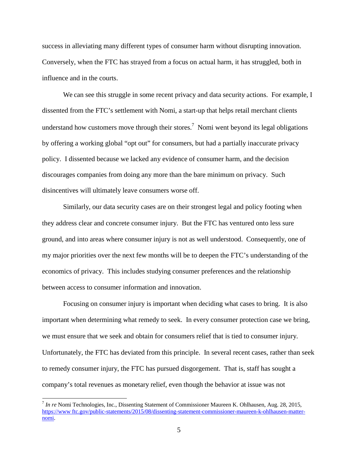success in alleviating many different types of consumer harm without disrupting innovation. Conversely, when the FTC has strayed from a focus on actual harm, it has struggled, both in influence and in the courts.

We can see this struggle in some recent privacy and data security actions. For example, I dissented from the FTC's settlement with Nomi, a start-up that helps retail merchant clients understand how customers move through their stores.<sup>7</sup> Nomi went beyond its legal obligations by offering a working global "opt out" for consumers, but had a partially inaccurate privacy policy. I dissented because we lacked any evidence of consumer harm, and the decision discourages companies from doing any more than the bare minimum on privacy. Such disincentives will ultimately leave consumers worse off.

Similarly, our data security cases are on their strongest legal and policy footing when they address clear and concrete consumer injury. But the FTC has ventured onto less sure ground, and into areas where consumer injury is not as well understood. Consequently, one of my major priorities over the next few months will be to deepen the FTC's understanding of the economics of privacy. This includes studying consumer preferences and the relationship between access to consumer information and innovation.

Focusing on consumer injury is important when deciding what cases to bring. It is also important when determining what remedy to seek. In every consumer protection case we bring, we must ensure that we seek and obtain for consumers relief that is tied to consumer injury. Unfortunately, the FTC has deviated from this principle. In several recent cases, rather than seek to remedy consumer injury, the FTC has pursued disgorgement. That is, staff has sought a company's total revenues as monetary relief, even though the behavior at issue was not

<span id="page-4-0"></span><sup>7</sup> *In re* Nomi Technologies, Inc., Dissenting Statement of Commissioner Maureen K. Ohlhausen, Aug. 28, 2015, [https://www](https://www/) ftc.gov/public-statements/2015/08/dissenting-statement-commissioner-maureen-k-ohlhausen-matternomi.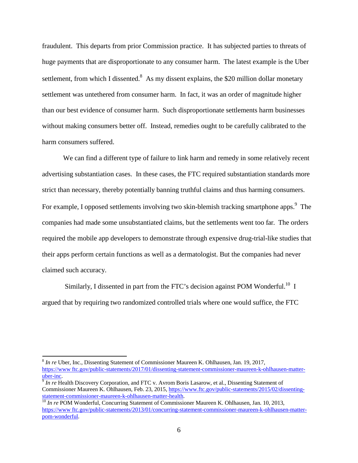fraudulent. This departs from prior Commission practice. It has subjected parties to threats of huge payments that are disproportionate to any consumer harm. The latest example is the Uber settlement, from which I dissented.<sup>8</sup> As my dissent explains, the \$20 million dollar monetary settlement was untethered from consumer harm. In fact, it was an order of magnitude higher than our best evidence of consumer harm. Such disproportionate settlements harm businesses without making consumers better off. Instead, remedies ought to be carefully calibrated to the harm consumers suffered.

We can find a different type of failure to link harm and remedy in some relatively recent advertising substantiation cases. In these cases, the FTC required substantiation standards more strict than necessary, thereby potentially banning truthful claims and thus harming consumers. For example, I opposed settlements involving two skin-blemish tracking s[martphone](#page-5-1) apps.<sup>9</sup> The companies had made some unsubstantiated claims, but the settlements went too far. The orders required the mobile app developers to demonstrate through expensive drug-trial-like studies that their apps perform certain functions as well as a dermatologist. But the companies had never claimed such accuracy.

Similarly, I dissented in part from the FTC's decision against POM Wonderful.<sup>10</sup> I argued that by requiring two randomized controlled trials where one would suffice, the FTC

<span id="page-5-0"></span><sup>8</sup> *In re* Uber, Inc., Dissenting Statement of Commissioner Maureen K. Ohlhausen, Jan. 19, 2017, [https://www](https://www/) ftc.gov/public-statements/2017/01/dissenting-statement-commissioner-maureen-k-ohlhausen-matter-<br>uber-inc.

<span id="page-5-1"></span><sup>&</sup>lt;sup>9</sup> *In re* Health Discovery Corporation, and FTC v. Avrom Boris Lasarow, et al., Dissenting Statement of Commissioner Maureen K. Ohlhausen, Feb. 23, 2015, https://www.ftc.gov/public-statements/2015/02/dissenting-statement-commissioner-maureen-k-ohlhausen-matter-health.

<sup>&</sup>lt;sup>10</sup> In re POM Wonderful, Concurring Statement of Commissioner Maureen K. Ohlhausen, Jan. 10, 2013, [https://www](https://www/) ftc.gov/public-statements/2013/01/concurring-statement-commissioner-maureen-k-ohlhausen-matterpom-wonderful.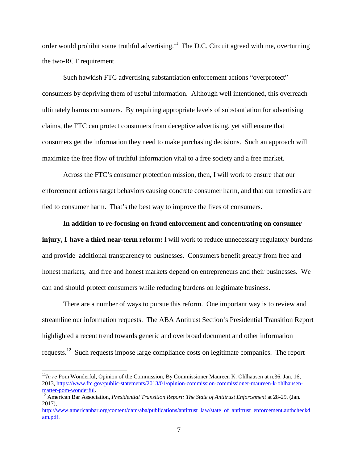order would prohibit some truthful advertising.<sup>11</sup> The D.C. Circuit agreed with me, overturning the two-RCT requirement.

Such hawkish FTC advertising substantiation enforcement actions "overprotect" consumers by depriving them of useful information. Although well intentioned, this overreach ultimately harms consumers. By requiring appropriate levels of substantiation for advertising claims, the FTC can protect consumers from deceptive advertising, yet still ensure that consumers get the information they need to make purchasing decisions. Such an approach will maximize the free flow of truthful information vital to a free society and a free market.

Across the FTC's consumer protection mission, then, I will work to ensure that our enforcement actions target behaviors causing concrete consumer harm, and that our remedies are tied to consumer harm. That's the best way to improve the lives of consumers.

## **In addition to re-focusing on fraud enforcement and concentrating on consumer**

**injury, I have a third near-term reform:** I will work to reduce unnecessary regulatory burdens and provide additional transparency to businesses. Consumers benefit greatly from free and honest markets, and free and honest markets depend on entrepreneurs and their businesses. We can and should protect consumers while reducing burdens on legitimate business.

There are a number of ways to pursue this reform. One important way is to review and streamline our information requests. The ABA Antitrust Section's Presidential Transition Report highlighted a recent trend towards generic and overbroad document and other information requests.12 Such requests impose large compliance costs on legitimate companies. The report

<sup>&</sup>lt;sup>11</sup>*In re* Pom Wonderful, Opinion of the Commission, By Commissioner Maureen K. Ohlhausen at n.36, Jan. 16, 2013, https://www.ftc.gov/public-statements/2013/01/opinion-commission-commissioner-maureen-k-ohlhausen-<br>matter-pom-wonderful.

<sup>&</sup>lt;sup>12</sup> American Bar Association, *Presidential Transition Report: The State of Antitrust Enforcement* at 28-29, (Jan. 2017),

<http://www.americanbar.org/content/dam/aba/publications/antitrust> law/state of antitrust enforcement.authcheckd am.pdf.